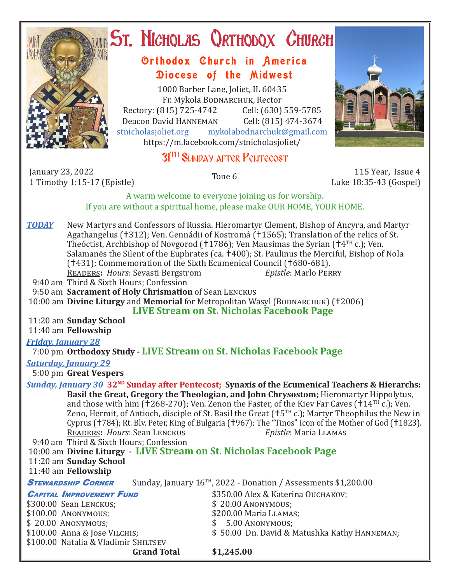

# **ST. NICHOLAS QRTHODOX CHURCH**

### Orthodox Church in America Diocese of the Midwest

1000 Barber Lane, Joliet, IL 60435 Fr. Mykola Bodnarchuk, Rector Rectory: (815) 725-4742 Cell: (630) 559-5785<br>Deacon David HANNEMAN Cell: (815) 474-3674 Deacon David Hanneman<br>stnicholasioliet.org mykola mykolabodnarchuk@gmail.com https://m.facebook.com/stnicholasjoliet/

## 3<sup>TH</sup> SUNDAY AFTER PENTECOST

January 23, 2022 1 Timothy 1:15-17 (Epistle) Tone 6 115 Year, Issue 4

Luke 18:35-43 (Gospel)

A warm welcome to everyone joining us for worship. If you are without a spiritual home, please make OUR HOME, YOUR HOME.

- **TODAY** New Martyrs and Confessors of Russia. Hieromartyr Clement, Bishop of Ancyra, and Martyr Agathangelus (†312); Ven. Gennádii of Kostromá (†1565); Translation of the relics of St. Theóctist, Archbishop of Novgorod (†1786); Ven Mausimas the Syrian († $4<sup>TH</sup>$  c.); Ven. Salamanēs the Silent of the Euphrates (ca. †400); St. Paulinus the Merciful, Bishop of Nola (†431); Commemoration of the Sixth Ecumenical Council (†680-681).<br>READERS: Hours: Sevasti Bergstrom Epistle: Marlo PERRY **READERS: Hours: Sevasti Bergstrom**
- 9:40 am Third & Sixth Hours; Confession
- 9:50 am **Sacrament of Holy Chrismation** of Sean Lenckus

10:00 am **Divine Liturgy** and **Memorial** for Metropolitan Wasyl (BODNARCHUK) (†2006)

 **LIVE Stream on St. Nicholas Facebook Page**

11:20 am **Sunday School**

11:40 am **Fellowship**

#### *Friday, January 28*

#### 7:00 pm **Orthodoxy Study - LIVE Stream on St. Nicholas Facebook Page**

#### *Saturday, January 29*

5:00 pm **Great Vespers**

*Sunday, January 30* **32ND Sunday after Pentecost; Synaxis of the Ecumenical Teachers & Hierarchs: Basil the Great, Gregory the Theologian, and John Chrysostom;** Hieromartyr Hippolytus, and those with him ( $\pm$ 268-270); Ven. Zenon the Faster, of the Kiev Far Caves ( $\pm$ 14<sup>TH</sup> c.); Ven. Zeno, Hermit, of Antioch, disciple of St. Basil the Great  $(15^{TH} c)$ ; Martyr Theophilus the New in Cyprus (†784); Rt. Blv. Peter, King of Bulgaria (†967); The "Tinos" Icon of the Mother of God (†1823).<br>READERS: Hours: Sean LENCKUS<br>Epistle: Maria LLAMAS **READERS: Hours: Sean LENCKUS** 

9:40 am Third & Sixth Hours; Confession

```
 10:00 am Divine Liturgy - LIVE Stream on St. Nicholas Facebook Page
11:20 am Sunday School
```
11:40 am **Fellowship**

**STEWARDSHIP CORNER** Sunday, January 16<sup>TH</sup>, 2022 - Donation / Assessments \$1,200.00

| <b>CAPITAL IMPROVEMENT FUND</b>      | \$350.00 Alex & Katerina Ouchakov;           |
|--------------------------------------|----------------------------------------------|
| \$300.00 Sean LENCKUS;               | $$20.00$ Anonymous;                          |
| \$100.00 ANONYMOUS;                  | \$200.00 Maria LLAMAS;                       |
| \$20.00 ANONYMOUS;                   | $$5.00$ ANONYMOUS;                           |
| \$100.00 Anna & Jose VILCHIS;        | \$50.00 Dn. David & Matushka Kathy HANNEMAN; |
| \$100.00 Natalia & Vladimir SHILTSEV |                                              |
|                                      |                                              |

**Grand Total \$1,245.00**